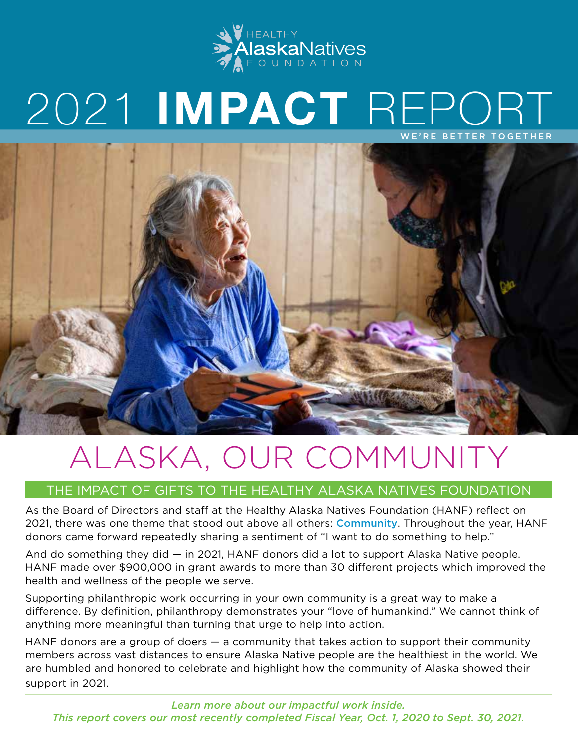

## 2021 **IMPACT** REPORT WE'RE BETTER TOGETHER



# ALASKA, OUR COMMUNITY

## THE IMPACT OF GIFTS TO THE HEALTHY ALASKA NATIVES FOUNDATION

As the Board of Directors and staff at the Healthy Alaska Natives Foundation (HANF) reflect on 2021, there was one theme that stood out above all others: Community. Throughout the year, HANF donors came forward repeatedly sharing a sentiment of "I want to do something to help."

And do something they did — in 2021, HANF donors did a lot to support Alaska Native people. HANF made over \$900,000 in grant awards to more than 30 different projects which improved the health and wellness of the people we serve.

Supporting philanthropic work occurring in your own community is a great way to make a difference. By definition, philanthropy demonstrates your "love of humankind." We cannot think of anything more meaningful than turning that urge to help into action.

HANF donors are a group of doers — a community that takes action to support their community members across vast distances to ensure Alaska Native people are the healthiest in the world. We are humbled and honored to celebrate and highlight how the community of Alaska showed their support in 2021.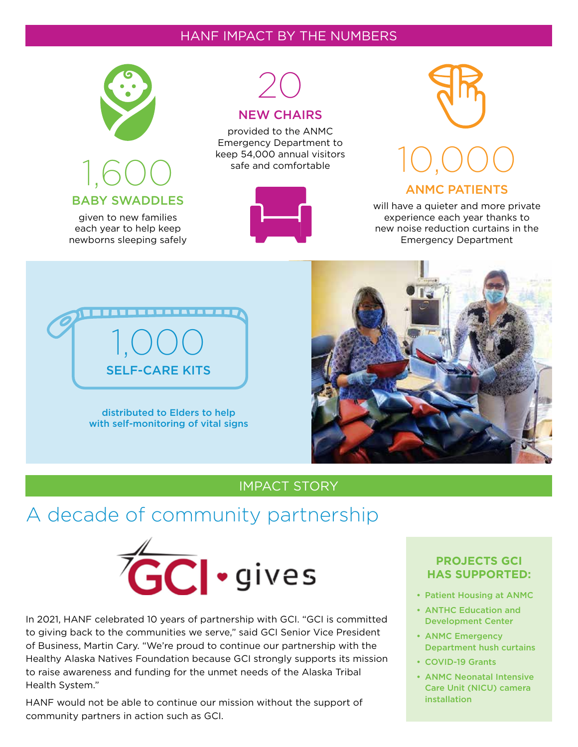### HANF IMPACT BY THE NUMBERS



## 1,600 BABY SWADDLES

given to new families each year to help keep newborns sleeping safely



#### NEW CHAIRS

provided to the ANMC Emergency Department to keep 54,000 annual visitors safe and comfortable





will have a quieter and more private experience each year thanks to new noise reduction curtains in the Emergency Department



distributed to Elders to help with self-monitoring of vital signs



## IMPACT STORY

## A decade of community partnership



In 2021, HANF celebrated 10 years of partnership with GCI. "GCI is committed to giving back to the communities we serve," said GCI Senior Vice President of Business, Martin Cary. "We're proud to continue our partnership with the Healthy Alaska Natives Foundation because GCI strongly supports its mission to raise awareness and funding for the unmet needs of the Alaska Tribal Health System."

HANF would not be able to continue our mission without the support of community partners in action such as GCI.

### **PROJECTS GCI HAS SUPPORTED:**

- Patient Housing at ANMC
- ANTHC Education and Development Center
- ANMC Emergency Department hush curtains
- COVID-19 Grants
- ANMC Neonatal Intensive Care Unit (NICU) camera installation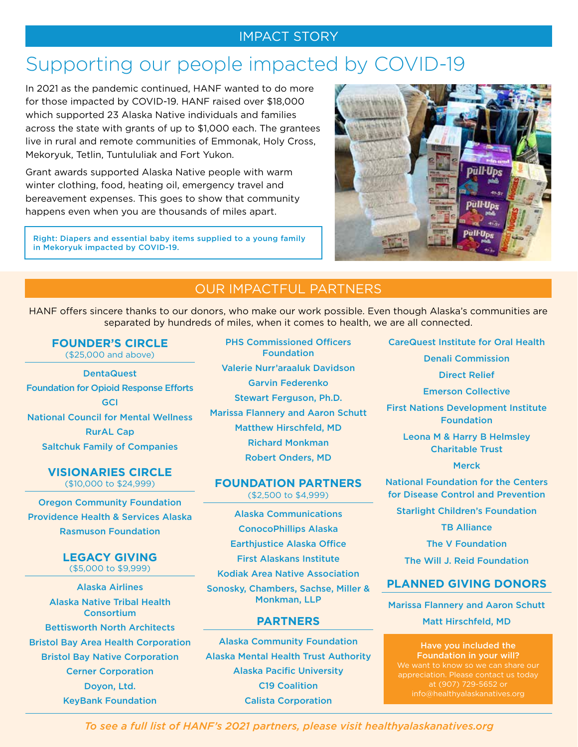### IMPACT STORY

## Supporting our people impacted by COVID-19

In 2021 as the pandemic continued, HANF wanted to do more for those impacted by COVID-19. HANF raised over \$18,000 which supported 23 Alaska Native individuals and families across the state with grants of up to \$1,000 each. The grantees live in rural and remote communities of Emmonak, Holy Cross, Mekoryuk, Tetlin, Tuntululiak and Fort Yukon.

Grant awards supported Alaska Native people with warm winter clothing, food, heating oil, emergency travel and bereavement expenses. This goes to show that community happens even when you are thousands of miles apart.

Right: Diapers and essential baby items supplied to a young family in Mekoryuk impacted by COVID-19.



## OUR IMPACTFUL PARTNERS

HANF offers sincere thanks to our donors, who make our work possible. Even though Alaska's communities are separated by hundreds of miles, when it comes to health, we are all connected.

#### **FOUNDER'S CIRCLE**  (\$25,000 and above)

**DentaQuest** Foundation for Opioid Response Efforts **GCI** National Council for Mental Wellness RurAL Cap Saltchuk Family of Companies

#### **VISIONARIES CIRCLE**  (\$10,000 to \$24,999)

Oregon Community Foundation Providence Health & Services Alaska Rasmuson Foundation

## **LEGACY GIVING**

(\$5,000 to \$9,999)

Alaska Airlines Alaska Native Tribal Health Consortium Bettisworth North Architects Bristol Bay Area Health Corporation Bristol Bay Native Corporation Cerner Corporation Doyon, Ltd. KeyBank Foundation

PHS Commissioned Officers Foundation Valerie Nurr'araaluk Davidson Garvin Federenko Stewart Ferguson, Ph.D. Marissa Flannery and Aaron Schutt Matthew Hirschfeld, MD Richard Monkman Robert Onders, MD

#### **FOUNDATION PARTNERS** (\$2,500 to \$4,999)

Alaska Communications ConocoPhillips Alaska Earthjustice Alaska Office First Alaskans Institute

Kodiak Area Native Association

Sonosky, Chambers, Sachse, Miller & Monkman, LLP

#### **PARTNERS**

Alaska Community Foundation Alaska Mental Health Trust Authority Alaska Pacific University C19 Coalition Calista Corporation

CareQuest Institute for Oral Health

Denali Commission

Direct Relief

Emerson Collective

First Nations Development Institute Foundation

Leona M & Harry B Helmsley Charitable Trust

#### Merck

National Foundation for the Centers for Disease Control and Prevention Starlight Children's Foundation

**TB Alliance** 

The V Foundation

The Will J. Reid Foundation

### **PLANNED GIVING DONORS**

Marissa Flannery and Aaron Schutt Matt Hirschfeld, MD

Have you included the Foundation in your will? We want to know so we can share our appreciation. Please contact us today at (907) 729-5652 or

*To see a full list of HANF's 2021 partners, please visit healthyalaskanatives.org*